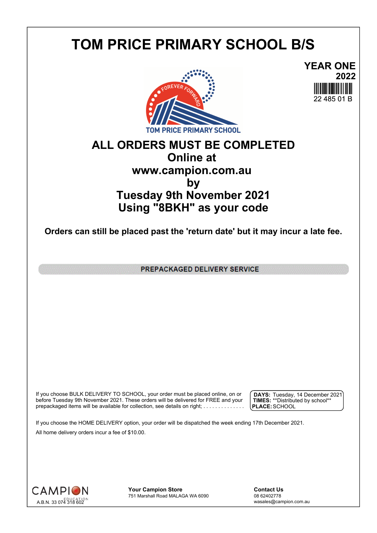## **TOM PRICE PRIMARY SCHOOL B/S**



**YEAR ONE 2022** 22 485 01 B

## **ALL ORDERS MUST BE COMPLETED Online at www.campion.com.au by Tuesday 9th November 2021 Using "8BKH" as your code**

**Orders can still be placed past the 'return date' but it may incur a late fee.**

PREPACKAGED DELIVERY SERVICE

If you choose BULK DELIVERY TO SCHOOL, your order must be placed online, on or  $\int$  DAYS: Tuesday, 1 before Tuesday 9th November 2021. These orders will be delivered for FREE and your  $\;\;\;$  **| TIMES:** \*\*Distribute prepackaged items will be available for collection, see details on right; . . . . . . . . . . . . . . .

**DAYS:** Tuesday, 14 December 2021 **TIMES:** \*\*Distributed by school\*\* **PLACE:**SCHOOL

If you choose the HOME DELIVERY option, your order will be dispatched the week ending 17th December 2021. All home delivery orders incur a fee of \$10.00.



**Your Campion Store**<br>
751 Marshall Road MALAGA WA 6090<br>
08 62402778 751 Marshall Road MALAGA WA 6090

wasales@campion.com.au